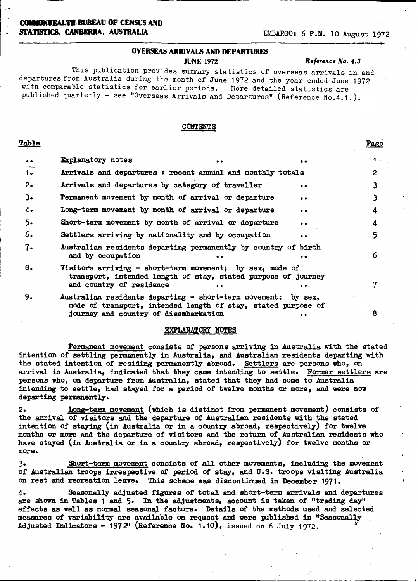### **COI4MONVEALTH BUREAU OF CENSUS AND STATISTICS, CANBERRA, AUSTRALIA EMBARGO: 6 P.M. 10 August 1972**

### **OVERSEAS ARRIVALS AND DEPARTURES**

JUNE 1972 *Reference No.* **4.3**

This publication provides summary statistics of overseas arrivals in and departures from Australia during the month of June 1972 and the year ended June 1972 with comparable statistics for earlier periods. More detailed statistics are published quarterly - see "Overseas Arrivals and Departures" (Reference No.4.1.).

#### **CONTENTS**

### **Table** Page

| $\bullet\bullet$ | <b>Explanatory</b> notes<br>$\bullet$                                                                                                                   | . .       | 1 ·          |
|------------------|---------------------------------------------------------------------------------------------------------------------------------------------------------|-----------|--------------|
| $1 -$            | Arrivals and departures : recent annual and monthly totals                                                                                              |           | $\mathbf{2}$ |
| $2\cdot$         | Arrivals and departures by category of traveller                                                                                                        | $\bullet$ | 31           |
| $3-$             | Permanent movement by month of arrival or departure                                                                                                     | $\bullet$ |              |
| 4.               | Long-term movement by month of arrival or departure                                                                                                     | $\bullet$ | 4            |
| 5.               | Short-term movement by month of arrival or departure                                                                                                    | $\bullet$ | 4            |
| 6.               | Settlers arriving by nationality and by occupation                                                                                                      | $\bullet$ |              |
| $7 -$            | Australian residents departing permanently by country of birth<br>and by occupation<br>$\bullet\bullet$                                                 | $\bullet$ | 6            |
| 8.               | Visitors arriving $-$ short-term movement; by sex, mode of<br>transport, intended length of stay, stated purpose of journey<br>and country of residence |           |              |
| 9.               | Australian residents departing - short-term movement; by sex,<br>mode of transport, intended length of stay, stated purpose of                          |           |              |

mode of transport, intended length of stay, stated **purpose of** journey and country of disembarkation ... 8

#### **EXPLANATORY NOTES**

Permanent movement consists of persons arriving in Australia with the stated intention of settling permanently in Australia, and Australian residents departing with the stated intention of residing permanently abroad. Settlers are persons who, on arrival in Australia, indicated that they came intending to settle. Former settlers are persons who, on departure from Australia, stated that they had come to Australia intending to settle, had stayed for a period of twelve months or more, and were now **departing permanently.**

2. Long-term movement (which is distinct from permanent movement) consists of the arrival of visitors and the departure of Australian residents with the stated intention of staying (in Australia or in a country abroad, respectively) for twelve months or more and the departure of visitors and the return of Australian residents who have stayed (in Australia or in a country abroad, respectively) for twelve months or **more.**

3. Short-term movement consists of all other movements, including the movement of Australian troops irrespective of period of stay, and U.S. troops visiting Australia on rest and recreation leave. This scheme was discontinued in December 1971.

4. Seasonally adjusted figures of total and short-term arrivals and departures are shown in Tables **1** and 5. In the adjustments, account is taken of "trading day" **effects as** well **as** normal seasonal factors. Details of the methods used and selected measures of variability are available **on** request and were published in "SeasonalVy **Adjusted Indicators** - 1972" (Reference No. 1.10), issued on 6 July 1972.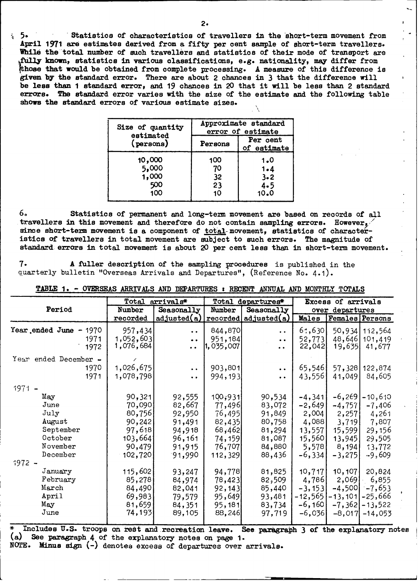**<sup>a</sup>**5. 'Statistics of characteristics of travellers in the short-term movement from **April 1971 are** estimates derived from a fifty per cent sample of short-term travellers. While the total number of such travellers and statistics of their mode of transport are **fully lawn,** statistics in various classifications, e.g. nationality, may differ from **those** that **would** be obtained from complete processing. **A** measure of this difference is **given by** the standard error. There are about **2** chances in **3** that the difference will be less than **1** standard error, and **19** chances in **20** that it will be less than **2 standard errors. The** standard error varies with the size of the estimate and the following table **shows** the standard errors of various estimate sizes.

| Size of quantity | Approximate standard |                         |  |  |  |
|------------------|----------------------|-------------------------|--|--|--|
| estimated        | error of estimate    |                         |  |  |  |
| (persons)        | Persons              | Per cent<br>of estimate |  |  |  |
| 10,000           | 100                  | 1.0                     |  |  |  |
| 5,000            | 70                   | $1 - 4$                 |  |  |  |
| 1,000            | 32                   | $3 - 2$                 |  |  |  |
| 500              | 23                   | 4.5                     |  |  |  |
| 100              | 10                   | 10.0                    |  |  |  |

**6.** Statistics of permanent and long-term movement are based on records of **all** travellers in this movement and therefore do not contain sampling errors. However, since short-term movement is a component of total-movement, statistics of characteristics of travellers in total movement are subject to such errors. The magnitude of standard errors in total movement is about **20** per cent less than in short-term movement.

7. **A** fuller description of the sampling procedures is published in the quarterly bulletin "Overseas Arrivals and Departures", (Reference No. 4.1).

|                                 |                      | Total arrivals*                         |                    | Total departures*         |                 | Excess of arrivals |                                  |
|---------------------------------|----------------------|-----------------------------------------|--------------------|---------------------------|-----------------|--------------------|----------------------------------|
| Period                          | Number               | Seasonally                              | Number             | Seasonally                |                 | over departures    |                                  |
|                                 | recorded             | adjusted(a)                             |                    | $recored $ adjusted $(a)$ | Males           |                    | Females Persons                  |
| Year ended June $-1970$<br>1971 | 957,434<br>1,052,603 | $\ddot{\bullet}$<br>$\bullet$ $\bullet$ | 844,870<br>951,184 | $\bullet$<br>$\bullet$    | 6,630<br>52,773 |                    | 50,934 112,564<br>48,646 101,419 |
| 1972                            | 1,076,684            | $\bullet$                               | 1,035,007          | $\bullet$                 | 22,042          | 19,635             | 41,677                           |
| Year ended December -           |                      |                                         |                    |                           |                 |                    |                                  |
| 1970                            | 1,026,675            | $\bullet$ $\bullet$                     | 903,801            | $\bullet$ $\bullet$       | 65,546          |                    | 57,328 122,874                   |
| 1971                            | 1,078,798            | $\bullet$ $\bullet$                     | 994,193            | $\bullet$                 | 43,556          | 41,049             | 84,605                           |
| $1971 -$                        |                      |                                         |                    |                           |                 |                    |                                  |
| May                             | 90,321               | 92,555                                  | 100,931            | 90,534                    | $-4,341$        | $-6,269$           | $-10,610$                        |
| June                            | 70,090               | 82,667                                  | 77,496             | 83,072                    | $-2,649$        | $-4,757$           | $-7,406$                         |
| July                            | 80,756               | 92,950                                  | 76,495             | 91,849                    | 2,004           | 2,257              | 4,261                            |
| August                          | 90, 242              | 91,491                                  | 82,435             | 80,758                    | 4,088           | 3,719              | 7,807                            |
| September                       | 97,618               | 94,918                                  | 68,462             | 81,294                    | 13,557          | 15,599             | 29,156                           |
| October                         | 103,6641             | 96,161                                  | 74,159             | 81,087                    | 15,560          | 13,945             | 29,505                           |
| November                        | 90,479               | 91,915                                  | 76,707             | 84,880                    | 5,578           | 8,194              | 13,772                           |
| December                        | 102,720              | 91,990                                  | 112,329            | 88,436                    | $-6,334$        | $-3,275$           | $-9,609$                         |
| $1972 -$                        |                      |                                         |                    |                           |                 |                    |                                  |
| January                         | 115,602              | 93,247                                  | 94,778             | 81,825                    | 10, 717         | 10,107             | 20,824                           |
| February                        | 85,278               | 84,974                                  | 78,423             | 82,509                    | 4,786           | 2,069              | 6,855                            |
| March                           | 84,490               | 82,041                                  | 92,143             | 85,440                    | $-3, 153$       | $-4,500$           | $-7,653$                         |
| April                           | 69,983               | 79,579                                  | 95,649             | 93,481                    | -12,565         | $-13,101$ – 25,666 |                                  |
| May                             | 81,659               | 84,351                                  | 95,181             | 83,734                    | $-6,160$        |                    | $-7,362$ – 13,522                |
| June                            | 74,193               | 89,105                                  | 88,246             | 97,719                    | $-6,036$        | $-8,017$           | $-14,053$                        |
|                                 |                      |                                         |                    |                           |                 |                    |                                  |

**TABLE** 1. - OVERSEAS ARRIVALS **AND** DEPARTURES : RECENT ANNUAL AN) **MONTHLY TOTALS**

**\*** Includes U.S. troops on **rest** and **recreation leave.** See. paragraph '3 of the explanatory notes (a) See paragraph **4** of the explanatory notes on page 1. NOTE. Minus sign (-) denotes excess of departures over arrivals.

 $=$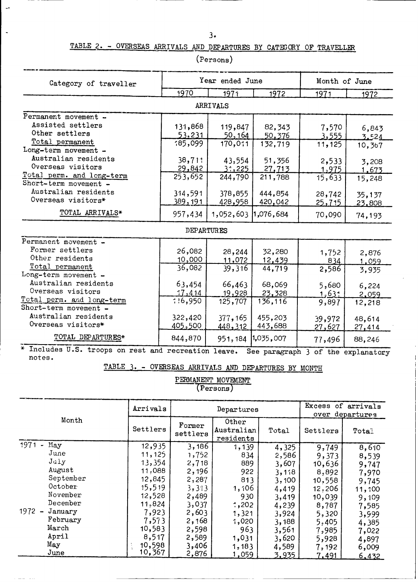## TABLE **2. -** OVERSEAS ARRIVALS AND DEPARTURES BY CATEGORY OF TRAVELLER

| Category of traveller                                |                 | Year ended June |                                    |              | Month of June |  |  |
|------------------------------------------------------|-----------------|-----------------|------------------------------------|--------------|---------------|--|--|
|                                                      | 1970            | 1971            | 1972                               | 1971         | 1972          |  |  |
|                                                      |                 | <b>ARRIVALS</b> |                                    |              |               |  |  |
| Permanent movement -                                 |                 |                 |                                    |              |               |  |  |
| Assisted settlers                                    | 131,868         | 119,847         | 82,343                             | 7,570        | 6,843         |  |  |
| Other settlers                                       | 53,231          | <u>50, 164</u>  | 50,376                             | 3,555        | 3.524         |  |  |
| Total permanent                                      | 185,099         | 170,011         | 132,719                            | 11,125       | 10,367        |  |  |
| Long-term movement -                                 |                 |                 |                                    |              |               |  |  |
| Australian residents                                 | 38,711          | 43,554          | 51,356                             | 2,533        | 3,208         |  |  |
| Overseas visitors                                    | 29,842          | 31,225          | 27,713                             | 1,975        | 1,673         |  |  |
| Total perm. and long-term                            | 253,652         | 244,790         | 211,788                            | 15,633       | 15,248        |  |  |
| Short-term movement -                                |                 |                 |                                    |              |               |  |  |
| Australian residents                                 | 314,591         | 378,855         | 444,854                            | 28,742       | 35,137        |  |  |
| Overseas visitors*                                   | <u>389, 191</u> | 428,958         | 420,042                            | 25,715       | 23,808        |  |  |
| TOTAL ARRIVALS*                                      | 957,434         | 1,052,603       | 1,076,684                          | 70,090       | 74,193        |  |  |
|                                                      |                 | DEPARTURES      |                                    |              |               |  |  |
| Permanent movement -                                 |                 |                 |                                    |              |               |  |  |
| Former settlers                                      | 26,082          | 28,244          | 32,280                             | 1,752        | 2,876         |  |  |
| Other residents                                      | 10,000          | 11,072          | 12,439                             | 834          | 1,059         |  |  |
| Total permanent                                      | 36,082          | 39,316          | 44,719                             | 2,586        | 3,935         |  |  |
| Long-term movement -                                 |                 |                 |                                    |              |               |  |  |
| Australian residents                                 | 63,454          | 66,463          | 68,069                             | 5,680        | 6,224         |  |  |
| Overseas visitors                                    | 17,414          | 19,928          | 23,328                             | <u>1,631</u> | 2,059         |  |  |
| Total perm. and long-term                            | 1!6,950         | 125,707         | 136, 116                           | 9,897        | 12,218        |  |  |
| Short-term movement -                                |                 |                 |                                    |              |               |  |  |
| Australian residents                                 | 322,420         | 377,165         | 455,203                            | 39,972       | 48,614        |  |  |
| Overseas visitors*                                   | 405,500         | 448, 312        | 443,688                            | 27,627       | 27,414        |  |  |
| TOTAL DEPARTURES*                                    | 844,870         | 951, 184        | 1,035,007                          | 77,496       | 88,246        |  |  |
| * Includes U.S. troops on rest and recreation leave. |                 |                 | See paragraph 3 of the explanatory |              |               |  |  |

(Persons)

notes.

TABLE 3. - OVERSEAS ARRIVALS AND DEPARTURES BY MONTH

**PERMANENT MOVEMENT** (Persons)

|                     | Arrivals |                    | Departures                       | Excess of arrivals<br>over departures |          |              |
|---------------------|----------|--------------------|----------------------------------|---------------------------------------|----------|--------------|
| Month               | Settlers | Former<br>settlers | Other<br>Australian<br>residents | Total                                 | Settlers | Total        |
| $1971 -$<br>Max     | 12,935   | 3,186              | 1,139                            | 4,325                                 | 9,749    | 8,610        |
| June                | 11, 125  | 1,752              | 834                              | 2,586                                 | 9,373    | 8,539        |
| July                | 13,354   | 2,718              | 889                              | 3,607                                 | 10,636   | 9,747        |
| August              | 11,088   | 2,196              | 922                              | 3,118                                 | 8,892    | 7,970        |
| September           | 12,845   | 2,287              | 813                              | 3,100                                 | 10,558   | 9,745        |
| October             | 15,519   | 3,313              | 1,106                            | 4,419                                 | 12,206   | 11,100       |
| November            | 12,528   | 2,489              | 930                              | 3,419                                 | 10,039   | 9,109        |
| December            | 11,824   | 3,037              | .0292                            | 4,239                                 | 8,787    | 7,585        |
| $1972 -$<br>January | 7,923    | 2,603              | 1,321                            | 3,924                                 | 5,320    | 3,999        |
| February            | 7,573    | 2,168              | 1,020                            | 3,188                                 | 5,405    | 4,385        |
| March               | 10,583   | 2,598              | 963                              | 3,561                                 | 7,985    | 7,022        |
| April               | 8,517    | 2,589              | 1,031                            | 3,620                                 | 5,928    | 4,897        |
| May                 | 10,598   | 3,406              | 1,183                            | 4,589                                 | 7,192    | 6,009        |
| June                | 10,367   | 2,876              | 1,059                            | 3,935                                 | 7,491    | <u>6,432</u> |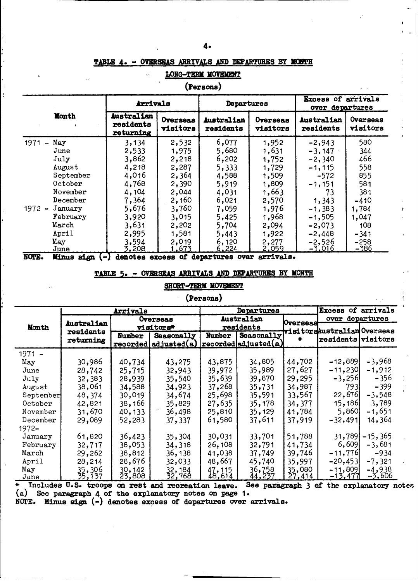#### **TABLE 4. - OVERSEAS ARRIVALS AND DEPARTURES BY NTH**

|                                         |                                      |                             | (Persons)               |                      |                         |                                       |  |  |
|-----------------------------------------|--------------------------------------|-----------------------------|-------------------------|----------------------|-------------------------|---------------------------------------|--|--|
|                                         | Arrivals                             |                             | Departures              |                      |                         | Excess of arrivals<br>over departures |  |  |
| <b>Month</b>                            | Australian<br>residents<br>returning | <b>Overseas</b><br>visitors | Australian<br>residents | Overseas<br>visitors | Australian<br>residents | Overseas<br>visitors                  |  |  |
| 1971<br>May<br>$\overline{\phantom{a}}$ | 3,134                                | 2,532                       | 6,077                   | 1,952                | $-2,943$                | 580                                   |  |  |
| June                                    | 2,533                                | 1,975                       | 5,680                   | 1,631                | $-3,147$                | 344                                   |  |  |
| July                                    | 3,862                                | 2,218                       | 6,202                   | 1,752                | $-2,340$                | 466                                   |  |  |
| August                                  | 4,218                                | 2,287                       | 5,333                   | 1,729                | $-1, 115$               | 558                                   |  |  |
| September                               | 4,016                                | 2,364                       | 4,588                   | 1,509                | $-572$                  | 855                                   |  |  |
| October                                 | 4,768                                | 2,390                       | 5,919                   | 1,809                | $-1,151$                | 581                                   |  |  |
| November                                | 4,104                                | 2,044                       | 4,031                   | 1,663                | 73                      | 381                                   |  |  |
| December                                | 7,364                                | 2,160                       | 6,021                   | 2,570                | 1,343                   | $-410$                                |  |  |
| $1972 -$<br>January                     | 5,676                                | 3,760                       | 7,059                   | 1,976                | $-1,383$                | 1,784                                 |  |  |
| February                                | 3,920                                | 3,015                       | 5,425                   | 1,968                | $-1,505$                | 1,047                                 |  |  |
| March                                   | 3,631                                | 2,202                       | 5,704                   | 2,094                | $-2,073$                | 108                                   |  |  |
| April                                   | 2,995                                | 1,581                       | 5,443                   | 1,922                | $-2,448$                | $-341$                                |  |  |
| May                                     | 3,594                                | 2,019                       | 6,120                   | 2,277                | $-2,526$                | $-258$                                |  |  |
| $_{\mathrm{June}}$                      | 3,208                                | <u>1,673</u>                | <u>6,224</u>            | <u>2,059</u>         | <u>-3.016</u>           | -386                                  |  |  |

**LONG-TERM MOVEMENT** 

**NOTE.** Minus sign  $(-)$  denotes excess of departures over arrivals.

### **TABLE 5. - OVERSEAS ARRIVALS AND DEPABTURIS BY MONTH**

### **SHORT-TERM MOVEMENT**

### **(Persons)**

|           |                   | Arrivals  |                         |            | <b>Departures</b>            | Excess of arrivals |                              |               |
|-----------|-------------------|-----------|-------------------------|------------|------------------------------|--------------------|------------------------------|---------------|
|           | <b>Australian</b> | Overseas  |                         | Australian |                              | <b>Uverseas</b>    | over departures              |               |
| Month     | residents         | visitors* |                         | residents  |                              |                    | visitors Australian Overseas |               |
|           | returning         | Number    | Seasonally              | Number     | Seasonally                   | ₩                  | <b>residents visitors</b>    |               |
|           |                   |           | recovered   adjusted(a) |            | $ reordered $ adjusted $(a)$ |                    |                              |               |
| $1971 -$  |                   |           |                         |            |                              |                    |                              |               |
| May       | 30,986            | 40,734    | 43,275                  | 43,875     | 34,805                       | 44,702             | $-12,889$                    | $-3,968$      |
| June      | 28,742            | 25,715    | 32,943                  | 39,972     | 35,989                       | 27,627             | $-11,230$                    | $-1,912$      |
| $J$ uly   | 32,383            | 28,939    | 35,540                  | 35,639     | 39,870                       | 29,295             | $-3,256$                     | $-356$        |
| August    | 38,061            | 34,588    | 34,923                  | 37,268     | 35,731                       | 34,987             | 793I                         | $-399$        |
| September | 48,374            | 30,019    | 34,674                  | 25,698     | 35,591                       | 33,567             | 22,676                       | $-3,548$      |
| October   | 42,821            | 38,166    | 35,829                  | 27,635     | 35,178                       | 34,377             | <b>15,186</b>                | 3,789         |
| November  | 31,670            | 40, 133   | 36,498                  | 25,810     | 35,129                       | 41,784             | 5,860                        | -1,651        |
| December  | 29,089            | 52,283    | 37,337                  | 61,580     | 37,611                       | 37,919             | $-32,491$                    | 14,364        |
| $1972 -$  |                   |           |                         |            |                              |                    |                              |               |
| January   | 61,820            | 36,423    | 35,304                  | 30,031     | 33,701                       | 51,788             | 31,789                       | $-15,365$     |
| February  | 32,717            | 38,053    | 34,318                  | 26,108     | 32,791                       | 41,734             | 6,609                        | $-3,681$      |
| March     | 29,262            | 38,812    | 36,138                  | 41,038     | 37,749                       | 39,746             | $-11,776$                    | $-934$        |
| April     | 28,214            | 28,676    | 32,033                  | 48,667     | 45,740                       | 35,997             | $-20,453$                    | $-7,321$      |
| May       | 35,306            | 30,142    | 32,184                  | 47,115     | 36,758                       | 35,080             | $-11,809$                    | $-4,938$      |
| June      | 35,137            | 23,808    | 32,768                  | 48,614     | <u>44,237</u>                | <u>27,414</u>      | -13,477                      | <u>-3,606</u> |

\* **Includes U.S. troops** ad **reet and recreation leave. See paragr (a) See paragraph** 4 **of the explanatory notes on page 1. raph 3 of the explanatory notes**

NCIEE. Minus **sign** (-) **denotes excess of departures over arrivals.**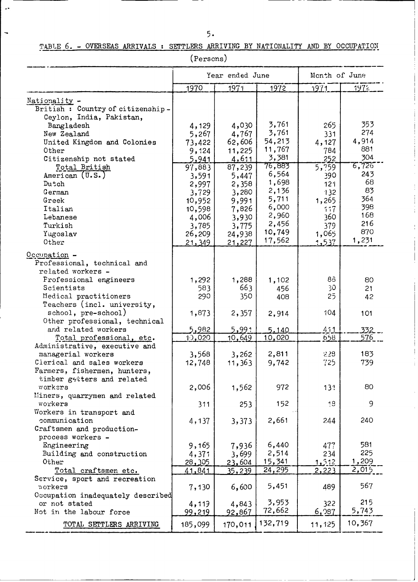### $5.$

 $\overline{\phantom{a}}$ 

I

### TABLE 6. - OVERSEAS ARRIVALS : SETTLERS ARRIVING BY NATIONALITY AND BY OCCUPATION

(Persons)

|                                                    |               | Year ended June | Month of June |              |               |
|----------------------------------------------------|---------------|-----------------|---------------|--------------|---------------|
|                                                    | 1970          | 1971            | 1972          | 1971         | 1972          |
| Nationality -                                      |               |                 |               |              |               |
| British: Country of citizenship-                   |               |                 |               |              |               |
| Ceylon, India, Pakistan,                           |               |                 |               |              |               |
| Bangladesh                                         | 4,129         | 4,030           | 3,761         | 265          | 353           |
| New Zealand                                        | 5,267         | 4,767           | 3,761         | 331          | 274           |
| United Kingdom and Colonies                        | 73,422        | 62,606          | 54,213        | 4,127        | 4,914         |
| Other                                              | 9,124         | 11,225          | 11,767        | 784          | 881           |
| Citizenship not stated                             | 5,941         | 4,611           | 3,381         | 252          | 304           |
| Total British                                      | 97,883        | 87,239          | 76,883        | 5,759        | 7726<br>6,726 |
| American (U.S.)                                    | 3,591         | 5,447           | 6,564         | 390          | 243           |
| Dutch                                              | 2,997         | 2,358           | 1,698         | 121          | 68            |
| German                                             | 3,729         | 3,280           | 2,136         | 132          | 83            |
| Greek                                              | 10,952        | 9,991           | 5,711         | 1,265        | 364           |
| Italian                                            | 10,598        | 7,826           | 6,000         | 117          | 398           |
| Lebanese                                           | 4,006         | 3,930           | 2,960         | 360          | 168           |
| Turkish                                            | 3,785         | 3,775           | 2,456         | 379          | 216           |
| Yugoslav                                           | 26,209        | 24,938          | 10,749        | 1,065        | 870           |
| Other                                              | 21,349        | 21,227          | 17,562        | 1,537        | 1,231         |
| Occupation -                                       |               |                 |               |              |               |
| Professional, technical and                        |               |                 |               |              |               |
| related workers -                                  |               |                 |               |              |               |
| Professional engineers                             | 1,292         | 1,288           | 1,102         | 68           | 80            |
| Scientists                                         | 583           | 663             | 456           | 30           | 21            |
| Medical practitioners                              | 290           | 350             | 408           | 25           | 42            |
| Teachers (incl. university,                        |               |                 |               |              |               |
| school, pre-school)                                | 1,873         | 2,357           | 2,914         | 104          | 101           |
| Other professional, technical                      |               |                 |               |              |               |
| and related workers                                | 5,982         | 5,991           | 5.140         | 411          | 332           |
| Total professional, etc.                           | 10,020        | 10,649          | 10,020        | 658          | 576           |
| Administrative, executive and                      |               |                 |               |              |               |
| managerial workers                                 | 3,568         | 3,262           | 2,811         | 228          | 183           |
| Cierical and sales workers                         | 12,748        | 11,363          | 9,742         | 725          | 739           |
| Farmers, fishermen, hunters,                       |               |                 |               |              |               |
| timber getters and related                         |               |                 |               |              |               |
| workers                                            | 2,006         | 1,562           | 972           | 13!          | 80            |
| Miners, quarrymen and related                      |               |                 |               |              |               |
| workers                                            | 311           | 253             | 152           | 18           | 9             |
| Workers in transport and                           |               |                 |               |              |               |
| communication                                      | 4,137         | 3,373           | 2,661         | 244          | 240           |
| Craftsmen and production-                          |               |                 |               |              |               |
| process workers -                                  |               |                 |               |              |               |
| Engineering                                        | 9,165         | 7,936           | 6,440         | 477          | 581           |
| Building and construction                          | 4,371         | 3,699           | 2,514         | 234          | 225           |
| Other                                              | 28,305        | 23,604          | <u>15,341</u> | <u>1,512</u> | 1,209         |
| Total craftsmen etc.                               | 41,841        | <u>35,239 </u>  | 24, 295       | 2,223        | 2,015         |
| Service, sport and recreation                      |               |                 | 5,451         |              | 567           |
| workers                                            | 7,130         | 6,600           |               | 489          |               |
| Occupation inadequately described<br>or not stated |               |                 | 3,953         |              | 215           |
| Not in the labour force                            | 4,119         | 4,843           | 72,662        | 322<br>6,087 | 5,743         |
|                                                    | <u>99,219</u> | <u>92,867</u>   |               |              |               |
| TOTAL SETTLERS ARRIVING                            | 185,099       | 170,011         | 132,719       | 11,125       | 10,367        |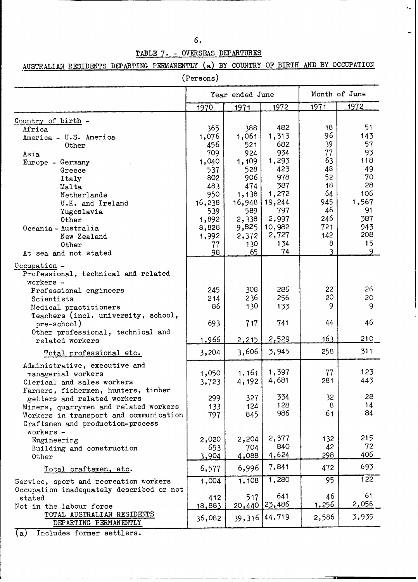| ٠<br>٠<br>۰.<br>۰.<br>۰. |              |
|--------------------------|--------------|
| I                        | ۰.<br>$\sim$ |

 $\ddot{\phantom{a}}$ 

 $\leftarrow$ 

### TABLE 7. - OVERSEAS DEPARTURES

# AUSTRALIAN RESIDENTS DEPARTING PERMANENTLY **(a)** BY COUNTRY OF BIRTH AND BY OCCUPATION

|                                                     | (Persons)    |                 |                 |              |               |
|-----------------------------------------------------|--------------|-----------------|-----------------|--------------|---------------|
|                                                     |              | Year ended June |                 |              | Month of June |
|                                                     | 1970         | 1971            | 1972            | 1971         | 1972          |
| Country of birth -                                  |              |                 |                 |              |               |
| Africa                                              | 365          | 388             | 482             | 18           | 51            |
| America - U.S. America                              | 1,076        | 1,061           | 1,313           | 96           | 143           |
| Other                                               | 456          | 521             | 682             | 39           | 57            |
| Asia                                                | 709          | 924             | 934             | 77           | 93            |
| Europe - Germany                                    | 1,040        | 1,109           | 1,293           | 63           | 118           |
| Greece                                              | 537          | 528             | 423             | 48           | 49            |
| Italy                                               | 802          | 906             | 978             | 52           | 70            |
| Malta                                               | 483          | 474             | 387             | 18           | 28            |
| Netherlands                                         | 950          | 1,138           | 1,272           | 64           | 106           |
| U.K. and Ireland                                    | 16,238       | 16,948          | 19,244          | 945          | 1,567         |
| Yugoslavia                                          | 539          | 589             | 797             | 46           | 91            |
| Other                                               | 1,892        | 2,338           | 2,997           | 246          | 387           |
| Oceania - Australia                                 | 8,828        | 9,825           | 10,982          | 721          | 943           |
| New Zealand                                         | 1,992        | 2,3/2           | 2,727           | 142          | 208           |
| Other                                               | 77           | 130             | 134             | 8            | 15            |
| At sea and not stated                               | 98           | 65              | 74              |              | q             |
|                                                     |              |                 |                 |              |               |
| <u> Occupation</u> -                                |              |                 |                 |              |               |
| Professional, technical and related                 |              |                 |                 |              |               |
| workers -                                           |              |                 |                 |              |               |
| Professional engineers                              | 245          | 308             | 286             | 22           | 26            |
| Scientists                                          | 214          | 236             | 256             | 20           | 20            |
| Medical practitioners                               | 86           | 130             | 133             | 9            | 9             |
| Teachers (incl. university, school,                 |              |                 |                 |              |               |
| pre-school)                                         | 693          | 717             | 741             | 44           | 46            |
| Other professional, technical and                   |              |                 |                 |              |               |
| related workers                                     | <u>1,966</u> | 2,215           | 2,529           | 163          | 210           |
|                                                     |              | 3,606           | 3,945           | 258          | 311           |
| Total professional etc.                             | 3,204        |                 |                 |              |               |
| Administrative, executive and                       |              |                 |                 |              |               |
| managerial workers                                  | 1,050        | 1,161           | 1,397           | 77           | 123           |
| Clerical and sales workers                          | 3,723        | 4,192           | 4,681           | 281          | 443           |
| Farmers, fishermen, hunters, timber                 |              |                 |                 |              |               |
| getters and related workers                         | 299          | 327             | 334             | 32           | 28            |
| Miners, quarrymen and related workers               | 133          | 124             | 128             | 8            | 14            |
| Workers in transport and communication              | 797          | 845             | 986             | 61           | 84            |
| Craftsmen and production-process                    |              |                 |                 |              |               |
| workers -                                           |              |                 |                 |              |               |
| Engineering                                         | 2,020        | 2,204           | 2,377           | 132          | 215           |
| Building and construction                           | 653          | 704             | 840             | 42           | 72            |
| Other                                               | 3,904        | 4,088           | 4,624           | 298          | 406           |
| Total craftsmen, etc.                               | 6,577        | 6,996           | 7,841           | 472          | 693           |
| Service, sport and recreation workers               | 1,004        | 1,108           | 1,280           | 95           | 122           |
| Occupation inadequately described or not            |              |                 |                 |              |               |
| stated                                              | 412          | 517             | 641             | 46           | 61            |
| Not in the labour force                             | 18,883       |                 | 20,440 23,486   | <u>1,256</u> | 2,056         |
| TOTAL AUSTRALIAN RESIDENTS<br>DEPARTING PERMANENTLY | 36,082       |                 | 39, 316 44, 719 | 2,586        | 3,935         |
|                                                     |              |                 |                 |              |               |

---<del>------------</del>--

 $\blacksquare$ 

(a) Includes former settlers.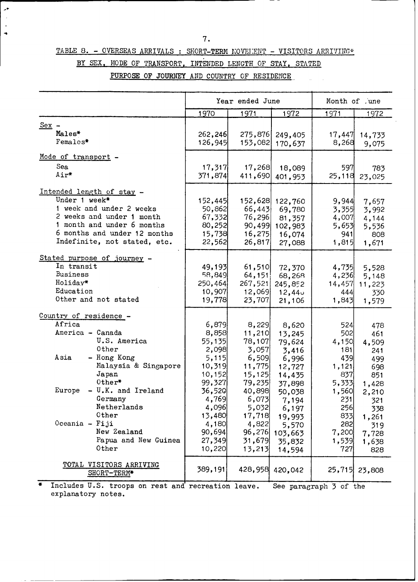- -

 $\ddot{\phantom{a}}$ 

### TABLE 8. - OVERSEAS ARRIVALS : SHORT-TERM MOVELENT - VISITORS ARRIVING\*

 $\mathcal{A}^{\bullet}$ 

 $\ddot{\phantom{1}}$  $\ddot{\phantom{1}}$ 

|  |  | BY SEX, MODE OF TRANSPORT, INTENDED LENGTH OF STAY, STATED |  |  |  |
|--|--|------------------------------------------------------------|--|--|--|

PURPOSE OF JOURNEY AND COUNTRY OF RESIDENCE

|                                                         |               | Year ended June |                 | Month of .une                      |                 |
|---------------------------------------------------------|---------------|-----------------|-----------------|------------------------------------|-----------------|
|                                                         | 1970          | 1971            | 1972            | 1971                               | 1972            |
| $Sex -$                                                 |               |                 |                 |                                    |                 |
| Males*                                                  | 262, 246      | 275,876         | 249,405         | 17,447                             | 14,733          |
| Females*                                                | 126,945       | 153,082         | 170,637         | 8,268                              | 9,075           |
|                                                         |               |                 |                 |                                    |                 |
| Mode of transport -                                     |               |                 |                 |                                    |                 |
| Sea                                                     | 17,317        | 17,268          | 18,089          | 597                                | 783             |
| Air*                                                    | 371,874       | 411,690         | 401,953         | 25,118                             | 23,025          |
|                                                         |               |                 |                 |                                    |                 |
| Intended length of stay -                               |               |                 |                 |                                    |                 |
| Under 1 week*                                           | 152,445       | 152,628         | 122,760         | 9,944                              | 7,657           |
| 1 week and under 2 weeks                                | 50,862        | 66,443          | 69,780          | 3,355                              | 3,992           |
| 2 weeks and under 1 month                               | 67,332        | 76,296          | 81,357          | 4,007                              | 4,144           |
| 1 month and under 6 months                              | 80,252        | 90,499          | 102,983         | 5,653                              | 5,536           |
| 6 months and under 12 months                            | 15,738        | 16,275          | 16,074          | 941                                | 808             |
| Indefinite, not stated, etc.                            | 22,562        | 26,817          | 27,088          | 1,815                              | 1,671           |
| Stated purpose of journey -                             |               |                 |                 |                                    |                 |
| In transit                                              | 49,193        | 61,510          | 72,370          | 4,735                              | 5,528           |
| Business                                                | 58,849        | 64,151          | 68,268          | 4,236                              |                 |
| Holiday*                                                | 250,464       | 267,521         | 245,852         | 14,457                             | 5,148<br>11,223 |
| Education                                               | 10,907        | 12,069          | 12,440          | 444                                |                 |
| Other and not stated                                    | <u>19,778</u> | 23,707          | 21,106          | 1,843                              | 330<br>1,579    |
|                                                         |               |                 |                 |                                    |                 |
| Country of residence -                                  |               |                 |                 |                                    |                 |
| Africa                                                  | 6,879         | 8,229           | 8,620           | 524                                | 478             |
| America - Canada                                        | 8,858         | 11,210          | 13,245          | 502                                | 461             |
| U.S. America                                            | 55,135        | 78,107          | 79,624          | 4,150                              | 4,509           |
| Other                                                   | 2,098         | 3,057           | 3,416           | 181                                | 241             |
| Asia<br>- Hong Kong                                     | 5,115         | 6,509           | 6,996           | 439                                | 499             |
| Malaysia & Singapore                                    | 10,319        | 11,775          | 12,727          | 1,121                              | 698             |
| Japan                                                   | 10,152        | 15,125          | 14,435          | 837                                | 851             |
| $0$ ther <sup>*</sup>                                   | 99,327        | 79,235          | 37,898          | 5,333                              | 1,428           |
| Europe<br>- U.K. and Ireland                            | 36,520        | 40,898          | 50,038          | 1,560                              | 2,210           |
| Germany                                                 | 4,769         | 6,073           | 7,194           | 231                                | 321             |
| Netherlands                                             | 4,096         | 5,032           | 6,197           | 256                                | 338             |
| Other                                                   | 13,480        | 17,718          | 19,993          | 833                                | 1,261           |
| Oceania - Fiji                                          | 4,180         | 4,822           | 5,570           | 282                                | 319             |
| New Zealand                                             | 90,694        | 96,276          | 103,663         | 7,200                              | 7,728           |
| Papua and New Guinea                                    | 27,349        | 31,679          | 35,832          | 1,539                              | 1,638           |
| Other                                                   | 10,220        | 13,213          | 14,594          | 727                                | 828             |
|                                                         |               |                 |                 |                                    |                 |
| TOTAL VISITORS ARRIVING                                 | 389,191       |                 | 428,958 420,042 |                                    | 25,715 23,808   |
| SHORT-TERM*                                             |               |                 |                 |                                    |                 |
| ₩.<br>Includes II S troops on rest and recreation leave |               |                 |                 | See paragraph $\frac{1}{2}$ of the |                 |

**\*** Includes U.S. troops on rest **and** recreation leave. See paragraph 3 of theexplanatory notes.